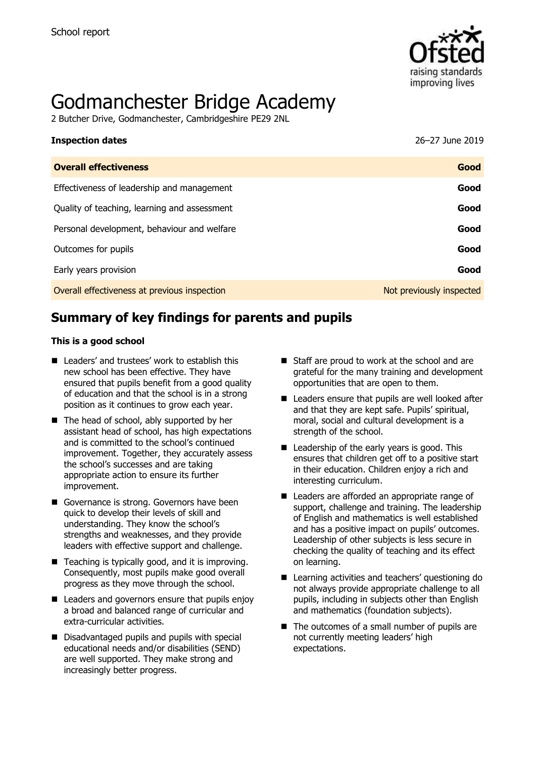

# Godmanchester Bridge Academy

2 Butcher Drive, Godmanchester, Cambridgeshire PE29 2NL

| <b>Inspection dates</b>                      | 26-27 June 2019          |
|----------------------------------------------|--------------------------|
| <b>Overall effectiveness</b>                 | Good                     |
| Effectiveness of leadership and management   | Good                     |
| Quality of teaching, learning and assessment | Good                     |
| Personal development, behaviour and welfare  | Good                     |
| Outcomes for pupils                          | Good                     |
| Early years provision                        | Good                     |
| Overall effectiveness at previous inspection | Not previously inspected |

# **Summary of key findings for parents and pupils**

### **This is a good school**

- Leaders' and trustees' work to establish this new school has been effective. They have ensured that pupils benefit from a good quality of education and that the school is in a strong position as it continues to grow each year.
- The head of school, ably supported by her assistant head of school, has high expectations and is committed to the school's continued improvement. Together, they accurately assess the school's successes and are taking appropriate action to ensure its further improvement.
- Governance is strong. Governors have been quick to develop their levels of skill and understanding. They know the school's strengths and weaknesses, and they provide leaders with effective support and challenge.
- Teaching is typically good, and it is improving. Consequently, most pupils make good overall progress as they move through the school.
- Leaders and governors ensure that pupils enjoy a broad and balanced range of curricular and extra-curricular activities.
- Disadvantaged pupils and pupils with special educational needs and/or disabilities (SEND) are well supported. They make strong and increasingly better progress.
- Staff are proud to work at the school and are grateful for the many training and development opportunities that are open to them.
- Leaders ensure that pupils are well looked after and that they are kept safe. Pupils' spiritual, moral, social and cultural development is a strength of the school.
- Leadership of the early years is good. This ensures that children get off to a positive start in their education. Children enjoy a rich and interesting curriculum.
- Leaders are afforded an appropriate range of support, challenge and training. The leadership of English and mathematics is well established and has a positive impact on pupils' outcomes. Leadership of other subjects is less secure in checking the quality of teaching and its effect on learning.
- Learning activities and teachers' questioning do not always provide appropriate challenge to all pupils, including in subjects other than English and mathematics (foundation subjects).
- The outcomes of a small number of pupils are not currently meeting leaders' high expectations.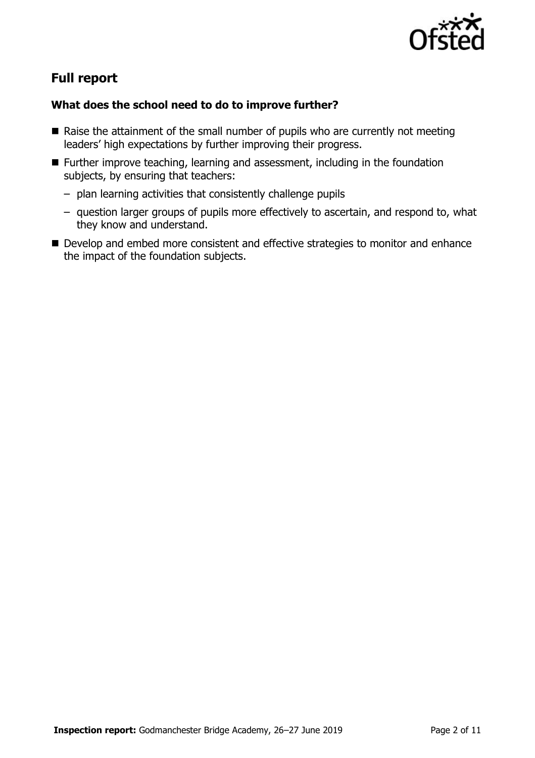

# **Full report**

### **What does the school need to do to improve further?**

- $\blacksquare$  Raise the attainment of the small number of pupils who are currently not meeting leaders' high expectations by further improving their progress.
- Further improve teaching, learning and assessment, including in the foundation subjects, by ensuring that teachers:
	- plan learning activities that consistently challenge pupils
	- question larger groups of pupils more effectively to ascertain, and respond to, what they know and understand.
- Develop and embed more consistent and effective strategies to monitor and enhance the impact of the foundation subjects.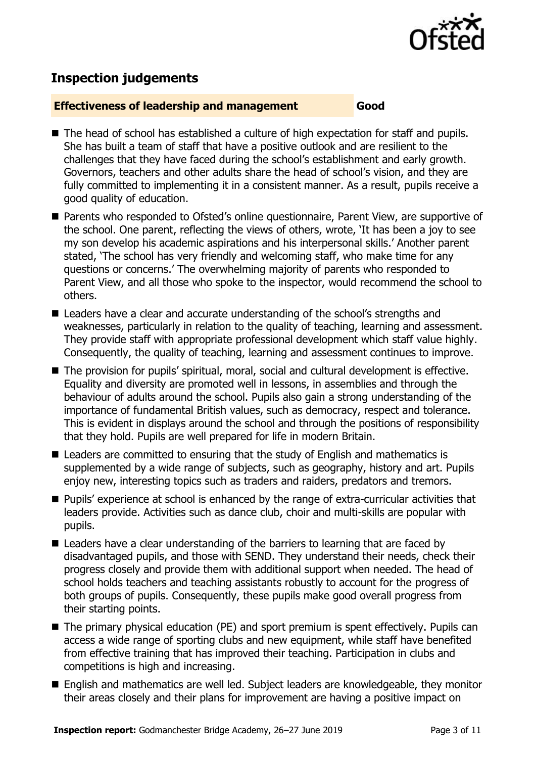

## **Inspection judgements**

### **Effectiveness of leadership and management Good**

- The head of school has established a culture of high expectation for staff and pupils. She has built a team of staff that have a positive outlook and are resilient to the challenges that they have faced during the school's establishment and early growth. Governors, teachers and other adults share the head of school's vision, and they are fully committed to implementing it in a consistent manner. As a result, pupils receive a good quality of education.
- Parents who responded to Ofsted's online questionnaire, Parent View, are supportive of the school. One parent, reflecting the views of others, wrote, 'It has been a joy to see my son develop his academic aspirations and his interpersonal skills.' Another parent stated, 'The school has very friendly and welcoming staff, who make time for any questions or concerns.' The overwhelming majority of parents who responded to Parent View, and all those who spoke to the inspector, would recommend the school to others.
- Leaders have a clear and accurate understanding of the school's strengths and weaknesses, particularly in relation to the quality of teaching, learning and assessment. They provide staff with appropriate professional development which staff value highly. Consequently, the quality of teaching, learning and assessment continues to improve.
- The provision for pupils' spiritual, moral, social and cultural development is effective. Equality and diversity are promoted well in lessons, in assemblies and through the behaviour of adults around the school. Pupils also gain a strong understanding of the importance of fundamental British values, such as democracy, respect and tolerance. This is evident in displays around the school and through the positions of responsibility that they hold. Pupils are well prepared for life in modern Britain.
- Leaders are committed to ensuring that the study of English and mathematics is supplemented by a wide range of subjects, such as geography, history and art. Pupils enjoy new, interesting topics such as traders and raiders, predators and tremors.
- Pupils' experience at school is enhanced by the range of extra-curricular activities that leaders provide. Activities such as dance club, choir and multi-skills are popular with pupils.
- Leaders have a clear understanding of the barriers to learning that are faced by disadvantaged pupils, and those with SEND. They understand their needs, check their progress closely and provide them with additional support when needed. The head of school holds teachers and teaching assistants robustly to account for the progress of both groups of pupils. Consequently, these pupils make good overall progress from their starting points.
- The primary physical education (PE) and sport premium is spent effectively. Pupils can access a wide range of sporting clubs and new equipment, while staff have benefited from effective training that has improved their teaching. Participation in clubs and competitions is high and increasing.
- English and mathematics are well led. Subject leaders are knowledgeable, they monitor their areas closely and their plans for improvement are having a positive impact on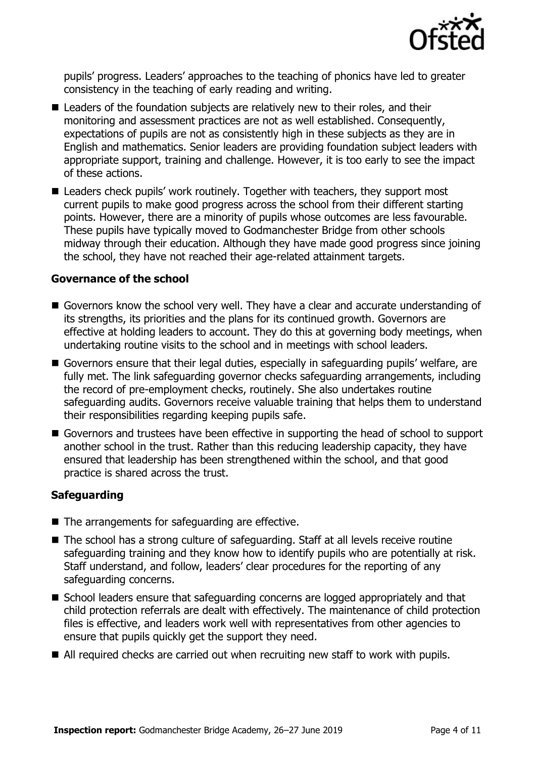

pupils' progress. Leaders' approaches to the teaching of phonics have led to greater consistency in the teaching of early reading and writing.

- Leaders of the foundation subjects are relatively new to their roles, and their monitoring and assessment practices are not as well established. Consequently, expectations of pupils are not as consistently high in these subjects as they are in English and mathematics. Senior leaders are providing foundation subject leaders with appropriate support, training and challenge. However, it is too early to see the impact of these actions.
- Leaders check pupils' work routinely. Together with teachers, they support most current pupils to make good progress across the school from their different starting points. However, there are a minority of pupils whose outcomes are less favourable. These pupils have typically moved to Godmanchester Bridge from other schools midway through their education. Although they have made good progress since joining the school, they have not reached their age-related attainment targets.

### **Governance of the school**

- Governors know the school very well. They have a clear and accurate understanding of its strengths, its priorities and the plans for its continued growth. Governors are effective at holding leaders to account. They do this at governing body meetings, when undertaking routine visits to the school and in meetings with school leaders.
- Governors ensure that their legal duties, especially in safeguarding pupils' welfare, are fully met. The link safeguarding governor checks safeguarding arrangements, including the record of pre-employment checks, routinely. She also undertakes routine safeguarding audits. Governors receive valuable training that helps them to understand their responsibilities regarding keeping pupils safe.
- Governors and trustees have been effective in supporting the head of school to support another school in the trust. Rather than this reducing leadership capacity, they have ensured that leadership has been strengthened within the school, and that good practice is shared across the trust.

### **Safeguarding**

- The arrangements for safeguarding are effective.
- The school has a strong culture of safeguarding. Staff at all levels receive routine safeguarding training and they know how to identify pupils who are potentially at risk. Staff understand, and follow, leaders' clear procedures for the reporting of any safeguarding concerns.
- School leaders ensure that safeguarding concerns are logged appropriately and that child protection referrals are dealt with effectively. The maintenance of child protection files is effective, and leaders work well with representatives from other agencies to ensure that pupils quickly get the support they need.
- All required checks are carried out when recruiting new staff to work with pupils.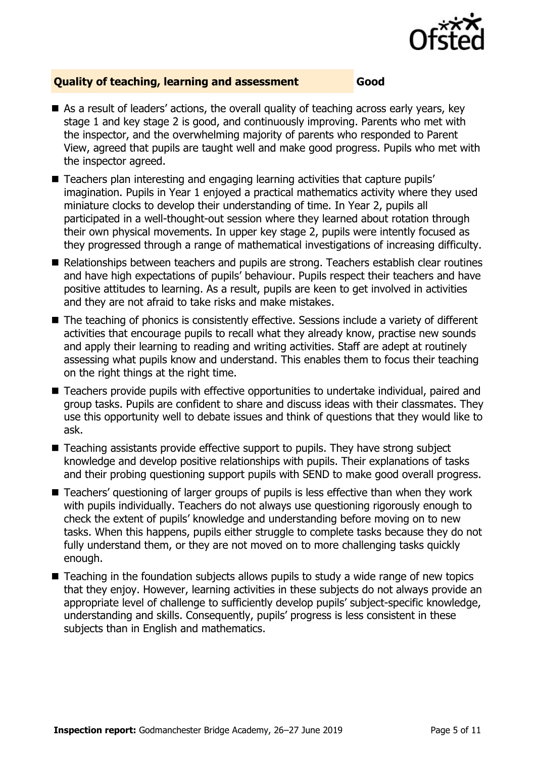

### **Quality of teaching, learning and assessment Good**

- As a result of leaders' actions, the overall quality of teaching across early years, key stage 1 and key stage 2 is good, and continuously improving. Parents who met with the inspector, and the overwhelming majority of parents who responded to Parent View, agreed that pupils are taught well and make good progress. Pupils who met with the inspector agreed.
- Teachers plan interesting and engaging learning activities that capture pupils' imagination. Pupils in Year 1 enjoyed a practical mathematics activity where they used miniature clocks to develop their understanding of time. In Year 2, pupils all participated in a well-thought-out session where they learned about rotation through their own physical movements. In upper key stage 2, pupils were intently focused as they progressed through a range of mathematical investigations of increasing difficulty.
- Relationships between teachers and pupils are strong. Teachers establish clear routines and have high expectations of pupils' behaviour. Pupils respect their teachers and have positive attitudes to learning. As a result, pupils are keen to get involved in activities and they are not afraid to take risks and make mistakes.
- The teaching of phonics is consistently effective. Sessions include a variety of different activities that encourage pupils to recall what they already know, practise new sounds and apply their learning to reading and writing activities. Staff are adept at routinely assessing what pupils know and understand. This enables them to focus their teaching on the right things at the right time.
- Teachers provide pupils with effective opportunities to undertake individual, paired and group tasks. Pupils are confident to share and discuss ideas with their classmates. They use this opportunity well to debate issues and think of questions that they would like to ask.
- Teaching assistants provide effective support to pupils. They have strong subject knowledge and develop positive relationships with pupils. Their explanations of tasks and their probing questioning support pupils with SEND to make good overall progress.
- Teachers' questioning of larger groups of pupils is less effective than when they work with pupils individually. Teachers do not always use questioning rigorously enough to check the extent of pupils' knowledge and understanding before moving on to new tasks. When this happens, pupils either struggle to complete tasks because they do not fully understand them, or they are not moved on to more challenging tasks quickly enough.
- Teaching in the foundation subjects allows pupils to study a wide range of new topics that they enjoy. However, learning activities in these subjects do not always provide an appropriate level of challenge to sufficiently develop pupils' subject-specific knowledge, understanding and skills. Consequently, pupils' progress is less consistent in these subjects than in English and mathematics.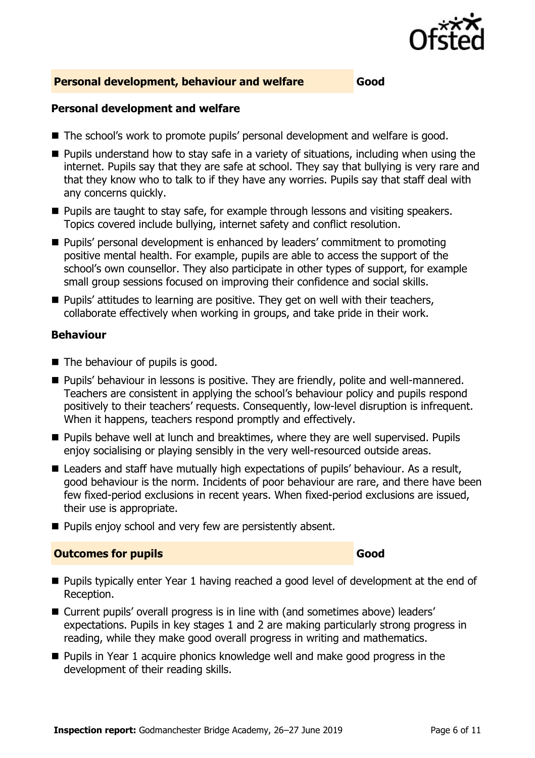

### **Personal development, behaviour and welfare Good**

### **Personal development and welfare**

- The school's work to promote pupils' personal development and welfare is good.
- Pupils understand how to stay safe in a variety of situations, including when using the internet. Pupils say that they are safe at school. They say that bullying is very rare and that they know who to talk to if they have any worries. Pupils say that staff deal with any concerns quickly.
- Pupils are taught to stay safe, for example through lessons and visiting speakers. Topics covered include bullying, internet safety and conflict resolution.
- Pupils' personal development is enhanced by leaders' commitment to promoting positive mental health. For example, pupils are able to access the support of the school's own counsellor. They also participate in other types of support, for example small group sessions focused on improving their confidence and social skills.
- Pupils' attitudes to learning are positive. They get on well with their teachers, collaborate effectively when working in groups, and take pride in their work.

### **Behaviour**

- The behaviour of pupils is good.
- Pupils' behaviour in lessons is positive. They are friendly, polite and well-mannered. Teachers are consistent in applying the school's behaviour policy and pupils respond positively to their teachers' requests. Consequently, low-level disruption is infrequent. When it happens, teachers respond promptly and effectively.
- Pupils behave well at lunch and breaktimes, where they are well supervised. Pupils enjoy socialising or playing sensibly in the very well-resourced outside areas.
- Leaders and staff have mutually high expectations of pupils' behaviour. As a result, good behaviour is the norm. Incidents of poor behaviour are rare, and there have been few fixed-period exclusions in recent years. When fixed-period exclusions are issued, their use is appropriate.
- Pupils enjoy school and very few are persistently absent.

### **Outcomes for pupils Good**

- Pupils typically enter Year 1 having reached a good level of development at the end of Reception.
- Current pupils' overall progress is in line with (and sometimes above) leaders' expectations. Pupils in key stages 1 and 2 are making particularly strong progress in reading, while they make good overall progress in writing and mathematics.
- Pupils in Year 1 acquire phonics knowledge well and make good progress in the development of their reading skills.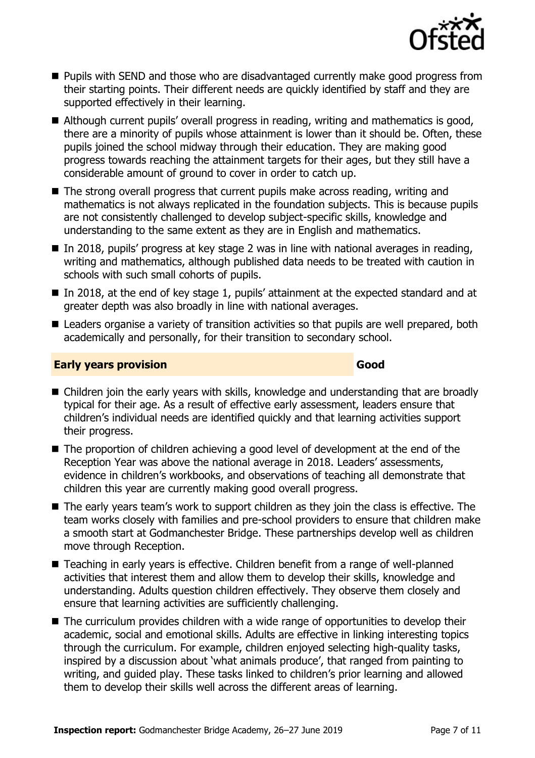

- Pupils with SEND and those who are disadvantaged currently make good progress from their starting points. Their different needs are quickly identified by staff and they are supported effectively in their learning.
- Although current pupils' overall progress in reading, writing and mathematics is good, there are a minority of pupils whose attainment is lower than it should be. Often, these pupils joined the school midway through their education. They are making good progress towards reaching the attainment targets for their ages, but they still have a considerable amount of ground to cover in order to catch up.
- The strong overall progress that current pupils make across reading, writing and mathematics is not always replicated in the foundation subjects. This is because pupils are not consistently challenged to develop subject-specific skills, knowledge and understanding to the same extent as they are in English and mathematics.
- In 2018, pupils' progress at key stage 2 was in line with national averages in reading, writing and mathematics, although published data needs to be treated with caution in schools with such small cohorts of pupils.
- In 2018, at the end of key stage 1, pupils' attainment at the expected standard and at greater depth was also broadly in line with national averages.
- Leaders organise a variety of transition activities so that pupils are well prepared, both academically and personally, for their transition to secondary school.

### **Early years provision Good Good**

- Children join the early years with skills, knowledge and understanding that are broadly typical for their age. As a result of effective early assessment, leaders ensure that children's individual needs are identified quickly and that learning activities support their progress.
- The proportion of children achieving a good level of development at the end of the Reception Year was above the national average in 2018. Leaders' assessments, evidence in children's workbooks, and observations of teaching all demonstrate that children this year are currently making good overall progress.
- The early years team's work to support children as they join the class is effective. The team works closely with families and pre-school providers to ensure that children make a smooth start at Godmanchester Bridge. These partnerships develop well as children move through Reception.
- Teaching in early years is effective. Children benefit from a range of well-planned activities that interest them and allow them to develop their skills, knowledge and understanding. Adults question children effectively. They observe them closely and ensure that learning activities are sufficiently challenging.
- The curriculum provides children with a wide range of opportunities to develop their academic, social and emotional skills. Adults are effective in linking interesting topics through the curriculum. For example, children enjoyed selecting high-quality tasks, inspired by a discussion about 'what animals produce', that ranged from painting to writing, and guided play. These tasks linked to children's prior learning and allowed them to develop their skills well across the different areas of learning.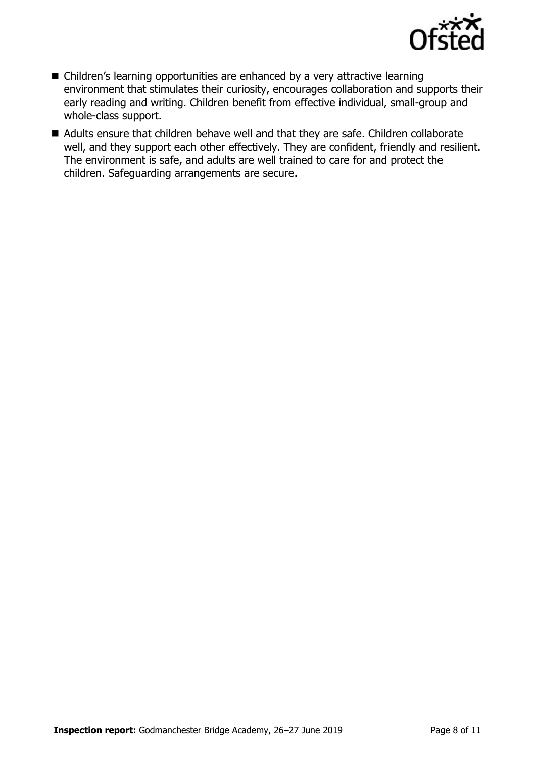

- Children's learning opportunities are enhanced by a very attractive learning environment that stimulates their curiosity, encourages collaboration and supports their early reading and writing. Children benefit from effective individual, small-group and whole-class support.
- Adults ensure that children behave well and that they are safe. Children collaborate well, and they support each other effectively. They are confident, friendly and resilient. The environment is safe, and adults are well trained to care for and protect the children. Safeguarding arrangements are secure.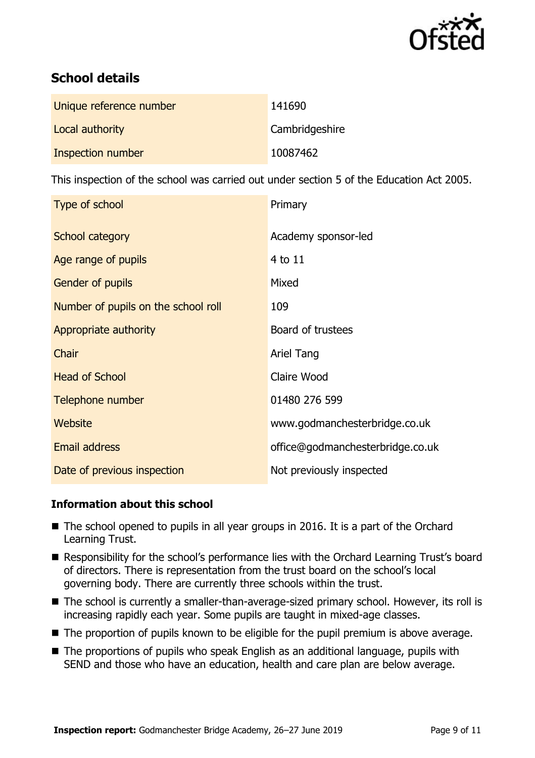

# **School details**

| Unique reference number | 141690         |
|-------------------------|----------------|
| Local authority         | Cambridgeshire |
| Inspection number       | 10087462       |

This inspection of the school was carried out under section 5 of the Education Act 2005.

| Type of school                      | Primary                          |
|-------------------------------------|----------------------------------|
| School category                     | Academy sponsor-led              |
| Age range of pupils                 | 4 to 11                          |
| <b>Gender of pupils</b>             | Mixed                            |
| Number of pupils on the school roll | 109                              |
| Appropriate authority               | Board of trustees                |
| Chair                               | Ariel Tang                       |
| <b>Head of School</b>               | Claire Wood                      |
| Telephone number                    | 01480 276 599                    |
| Website                             | www.godmanchesterbridge.co.uk    |
| Email address                       | office@godmanchesterbridge.co.uk |
| Date of previous inspection         | Not previously inspected         |

### **Information about this school**

- The school opened to pupils in all year groups in 2016. It is a part of the Orchard Learning Trust.
- Responsibility for the school's performance lies with the Orchard Learning Trust's board of directors. There is representation from the trust board on the school's local governing body. There are currently three schools within the trust.
- The school is currently a smaller-than-average-sized primary school. However, its roll is increasing rapidly each year. Some pupils are taught in mixed-age classes.
- The proportion of pupils known to be eligible for the pupil premium is above average.
- The proportions of pupils who speak English as an additional language, pupils with SEND and those who have an education, health and care plan are below average.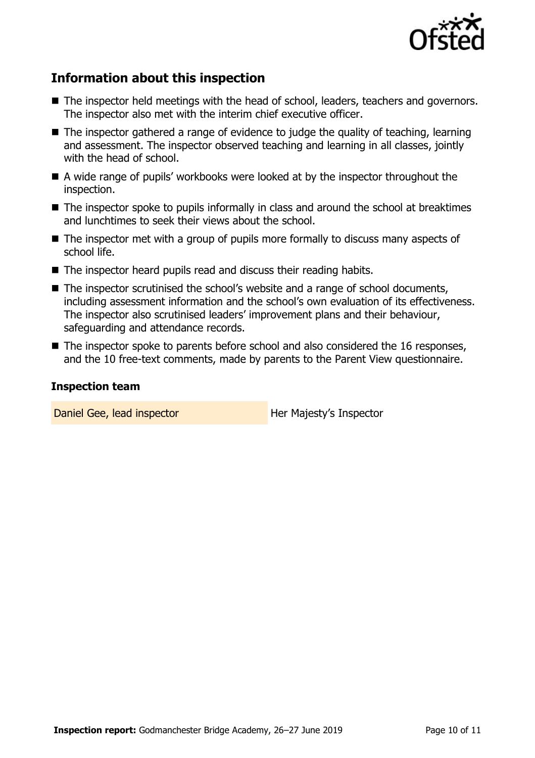

# **Information about this inspection**

- The inspector held meetings with the head of school, leaders, teachers and governors. The inspector also met with the interim chief executive officer.
- The inspector gathered a range of evidence to judge the quality of teaching, learning and assessment. The inspector observed teaching and learning in all classes, jointly with the head of school.
- A wide range of pupils' workbooks were looked at by the inspector throughout the inspection.
- The inspector spoke to pupils informally in class and around the school at breaktimes and lunchtimes to seek their views about the school.
- The inspector met with a group of pupils more formally to discuss many aspects of school life.
- The inspector heard pupils read and discuss their reading habits.
- The inspector scrutinised the school's website and a range of school documents, including assessment information and the school's own evaluation of its effectiveness. The inspector also scrutinised leaders' improvement plans and their behaviour, safeguarding and attendance records.
- The inspector spoke to parents before school and also considered the 16 responses, and the 10 free-text comments, made by parents to the Parent View questionnaire.

### **Inspection team**

Daniel Gee, lead inspector **Her Majesty's Inspector**